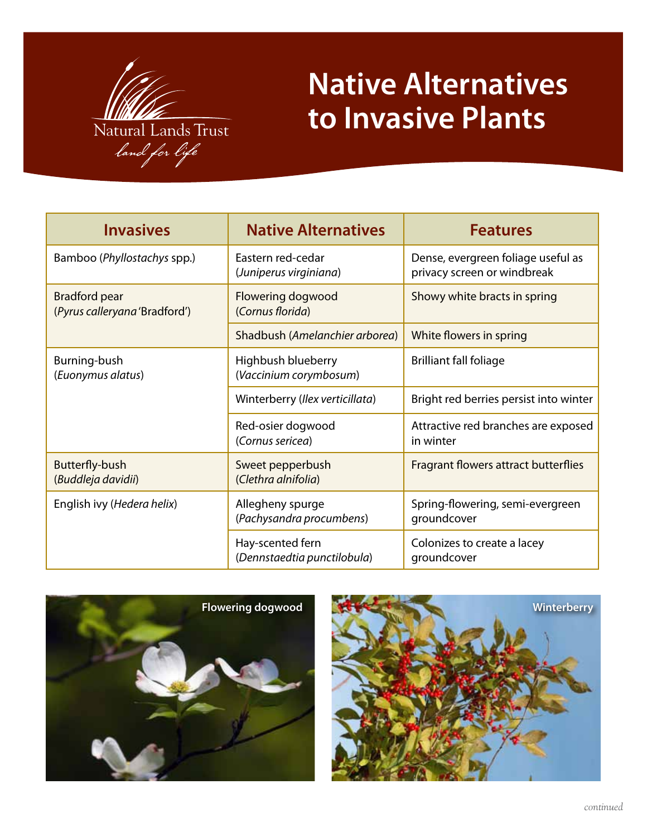

## **Native Alternatives to Invasive Plants**

| <b>Invasives</b>                                      | <b>Native Alternatives</b>                      | <b>Features</b>                                                   |
|-------------------------------------------------------|-------------------------------------------------|-------------------------------------------------------------------|
| Bamboo (Phyllostachys spp.)                           | Eastern red-cedar<br>(Juniperus virginiana)     | Dense, evergreen foliage useful as<br>privacy screen or windbreak |
| <b>Bradford pear</b><br>(Pyrus calleryana 'Bradford') | Flowering dogwood<br>(Cornus florida)           | Showy white bracts in spring                                      |
|                                                       | Shadbush (Amelanchier arborea)                  | White flowers in spring                                           |
| Burning-bush<br>(Euonymus alatus)                     | Highbush blueberry<br>(Vaccinium corymbosum)    | <b>Brilliant fall foliage</b>                                     |
|                                                       | Winterberry (Ilex verticillata)                 | Bright red berries persist into winter                            |
|                                                       | Red-osier dogwood<br>(Cornus sericea)           | Attractive red branches are exposed<br>in winter                  |
| Butterfly-bush<br>(Buddleja davidii)                  | Sweet pepperbush<br>(Clethra alnifolia)         | Fragrant flowers attract butterflies                              |
| English ivy (Hedera helix)                            | Allegheny spurge<br>(Pachysandra procumbens)    | Spring-flowering, semi-evergreen<br>groundcover                   |
|                                                       | Hay-scented fern<br>(Dennstaedtia punctilobula) | Colonizes to create a lacey<br>groundcover                        |